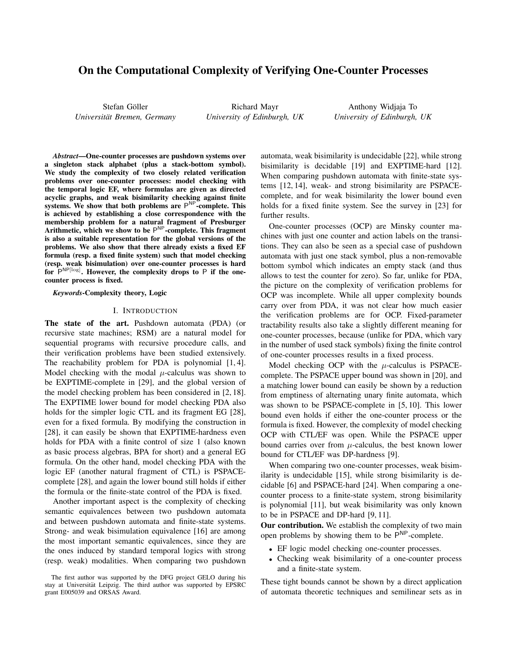# On the Computational Complexity of Verifying One-Counter Processes

Stefan Göller *Universitat Bremen, Germany ¨*

Richard Mayr *University of Edinburgh, UK*

Anthony Widjaja To *University of Edinburgh, UK*

*Abstract*—One-counter processes are pushdown systems over a singleton stack alphabet (plus a stack-bottom symbol). We study the complexity of two closely related verification problems over one-counter processes: model checking with the temporal logic EF, where formulas are given as directed acyclic graphs, and weak bisimilarity checking against finite systems. We show that both problems are  $P^{NP}$ -complete. This is achieved by establishing a close correspondence with the membership problem for a natural fragment of Presburger Arithmetic, which we show to be  $P^{NP}$ -complete. This fragment is also a suitable representation for the global versions of the problems. We also show that there already exists a fixed EF formula (resp. a fixed finite system) such that model checking (resp. weak bisimulation) over one-counter processes is hard for  $P^{NP[log]}$ . However, the complexity drops to P if the onecounter process is fixed.

#### *Keywords*-Complexity theory, Logic

#### I. INTRODUCTION

The state of the art. Pushdown automata (PDA) (or recursive state machines; RSM) are a natural model for sequential programs with recursive procedure calls, and their verification problems have been studied extensively. The reachability problem for PDA is polynomial [1, 4]. Model checking with the modal  $\mu$ -calculus was shown to be EXPTIME-complete in [29], and the global version of the model checking problem has been considered in [2, 18]. The EXPTIME lower bound for model checking PDA also holds for the simpler logic CTL and its fragment EG [28], even for a fixed formula. By modifying the construction in [28], it can easily be shown that EXPTIME-hardness even holds for PDA with a finite control of size 1 (also known as basic process algebras, BPA for short) and a general EG formula. On the other hand, model checking PDA with the logic EF (another natural fragment of CTL) is PSPACEcomplete [28], and again the lower bound still holds if either the formula or the finite-state control of the PDA is fixed.

Another important aspect is the complexity of checking semantic equivalences between two pushdown automata and between pushdown automata and finite-state systems. Strong- and weak bisimulation equivalence [16] are among the most important semantic equivalences, since they are the ones induced by standard temporal logics with strong (resp. weak) modalities. When comparing two pushdown automata, weak bisimilarity is undecidable [22], while strong bisimilarity is decidable [19] and EXPTIME-hard [12]. When comparing pushdown automata with finite-state systems [12, 14], weak- and strong bisimilarity are PSPACEcomplete, and for weak bisimilarity the lower bound even holds for a fixed finite system. See the survey in [23] for further results.

One-counter processes (OCP) are Minsky counter machines with just one counter and action labels on the transitions. They can also be seen as a special case of pushdown automata with just one stack symbol, plus a non-removable bottom symbol which indicates an empty stack (and thus allows to test the counter for zero). So far, unlike for PDA, the picture on the complexity of verification problems for OCP was incomplete. While all upper complexity bounds carry over from PDA, it was not clear how much easier the verification problems are for OCP. Fixed-parameter tractability results also take a slightly different meaning for one-counter processes, because (unlike for PDA, which vary in the number of used stack symbols) fixing the finite control of one-counter processes results in a fixed process.

Model checking OCP with the  $\mu$ -calculus is PSPACEcomplete. The PSPACE upper bound was shown in [20], and a matching lower bound can easily be shown by a reduction from emptiness of alternating unary finite automata, which was shown to be PSPACE-complete in [5, 10]. This lower bound even holds if either the one-counter process or the formula is fixed. However, the complexity of model checking OCP with CTL/EF was open. While the PSPACE upper bound carries over from  $\mu$ -calculus, the best known lower bound for CTL/EF was DP-hardness [9].

When comparing two one-counter processes, weak bisimilarity is undecidable [15], while strong bisimilarity is decidable [6] and PSPACE-hard [24]. When comparing a onecounter process to a finite-state system, strong bisimilarity is polynomial [11], but weak bisimilarity was only known to be in PSPACE and DP-hard [9, 11].

Our contribution. We establish the complexity of two main open problems by showing them to be P<sup>NP</sup>-complete.

- EF logic model checking one-counter processes.
- Checking weak bisimilarity of a one-counter process and a finite-state system.

These tight bounds cannot be shown by a direct application of automata theoretic techniques and semilinear sets as in

The first author was supported by the DFG project GELO during his stay at Universität Leipzig. The third author was supported by EPSRC grant E005039 and ORSAS Award.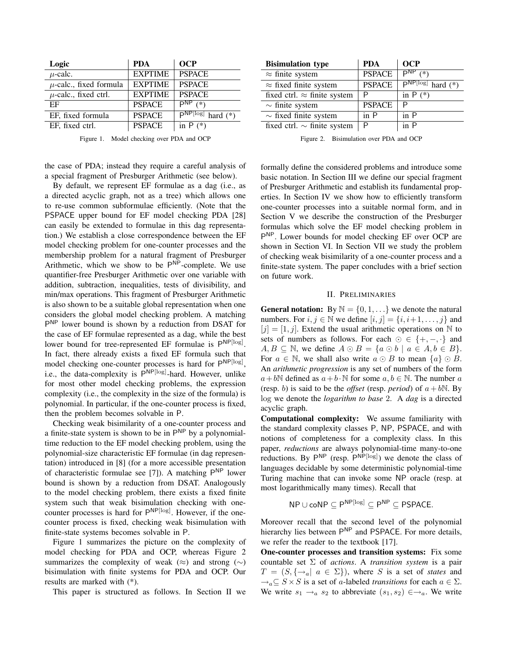| Logic                       | <b>PDA</b>     | <b>OCP</b>                        |
|-----------------------------|----------------|-----------------------------------|
| $\mu$ -calc.                | <b>EXPTIME</b> | <b>PSPACE</b>                     |
| $\mu$ -calc., fixed formula | <b>EXPTIME</b> | <b>PSPACE</b>                     |
| $\mu$ -calc., fixed ctrl.   | <b>EXPTIME</b> | <b>PSPACE</b>                     |
| EF                          | <b>PSPACE</b>  | P <sub>NP</sub><br>$(*)$          |
| EF, fixed formula           | <b>PSPACE</b>  | $\overline{P^{NP[log]}}$ hard (*) |
| EF, fixed ctrl.             | <b>PSPACE</b>  | in $P(*)$                         |

Figure 1. Model checking over PDA and OCP

the case of PDA; instead they require a careful analysis of a special fragment of Presburger Arithmetic (see below).

By default, we represent EF formulae as a dag (i.e., as a directed acyclic graph, not as a tree) which allows one to re-use common subformulae efficiently. (Note that the PSPACE upper bound for EF model checking PDA [28] can easily be extended to formulae in this dag representation.) We establish a close correspondence between the EF model checking problem for one-counter processes and the membership problem for a natural fragment of Presburger Arithmetic, which we show to be P<sup>NP</sup>-complete. We use quantifier-free Presburger Arithmetic over one variable with addition, subtraction, inequalities, tests of divisibility, and min/max operations. This fragment of Presburger Arithmetic is also shown to be a suitable global representation when one considers the global model checking problem. A matching P<sup>NP</sup> lower bound is shown by a reduction from DSAT for the case of EF formulae represented as a dag, while the best lower bound for tree-represented EF formulae is  $P^{NP[log]}$ . In fact, there already exists a fixed EF formula such that model checking one-counter processes is hard for  $P^{NP[log]}$ , i.e., the data-complexity is  $P^{NP[log]}$ -hard. However, unlike for most other model checking problems, the expression complexity (i.e., the complexity in the size of the formula) is polynomial. In particular, if the one-counter process is fixed, then the problem becomes solvable in P.

Checking weak bisimilarity of a one-counter process and a finite-state system is shown to be in P<sup>NP</sup> by a polynomialtime reduction to the EF model checking problem, using the polynomial-size characteristic EF formulae (in dag representation) introduced in [8] (for a more accessible presentation of characteristic formulae see [7]). A matching P<sup>NP</sup> lower bound is shown by a reduction from DSAT. Analogously to the model checking problem, there exists a fixed finite system such that weak bisimulation checking with onecounter processes is hard for  $P^{NP[log]}$ . However, if the onecounter process is fixed, checking weak bisimulation with finite-state systems becomes solvable in P.

Figure 1 summarizes the picture on the complexity of model checking for PDA and OCP, whereas Figure 2 summarizes the complexity of weak (≈) and strong ( $\sim$ ) bisimulation with finite systems for PDA and OCP. Our results are marked with (\*).

This paper is structured as follows. In Section II we

| <b>Bisimulation type</b>            | <b>PDA</b>    | <b>OCP</b>                        |
|-------------------------------------|---------------|-----------------------------------|
| $\approx$ finite system             | <b>PSPACE</b> | $P^{NP}$<br>$(*)$                 |
| $\approx$ fixed finite system       | <b>PSPACE</b> | $\overline{P^{NP[log]}}$ hard (*) |
| fixed ctrl. $\approx$ finite system | P             | in $P(*)$                         |
| $\sim$ finite system                | <b>PSPACE</b> | P                                 |
| $\sim$ fixed finite system          | in P          | in P                              |
| fixed ctrl. $\sim$ finite system    | D             | in P                              |

Figure 2. Bisimulation over PDA and OCP

formally define the considered problems and introduce some basic notation. In Section III we define our special fragment of Presburger Arithmetic and establish its fundamental properties. In Section IV we show how to efficiently transform one-counter processes into a suitable normal form, and in Section V we describe the construction of the Presburger formulas which solve the EF model checking problem in P NP. Lower bounds for model checking EF over OCP are shown in Section VI. In Section VII we study the problem of checking weak bisimilarity of a one-counter process and a finite-state system. The paper concludes with a brief section on future work.

#### II. PRELIMINARIES

**General notation:** By  $\mathbb{N} = \{0, 1, ...\}$  we denote the natural numbers. For  $i, j \in \mathbb{N}$  we define  $[i, j] = \{i, i+1, \dots, j\}$  and  $[j] = [1, j]$ . Extend the usual arithmetic operations on N to sets of numbers as follows. For each  $\odot \in \{+, -, \cdot\}$  and  $A, B \subseteq \mathbb{N}$ , we define  $A \odot B = \{a \odot b \mid a \in A, b \in B\}.$ For  $a \in \mathbb{N}$ , we shall also write  $a \odot B$  to mean  $\{a\} \odot B$ . An *arithmetic progression* is any set of numbers of the form  $a+b\mathbb{N}$  defined as  $a+b\cdot\mathbb{N}$  for some  $a, b \in \mathbb{N}$ . The number a (resp. b) is said to be the *offset* (resp. *period*) of  $a + bN$ . By log we denote the *logarithm to base* 2. A *dag* is a directed acyclic graph.

Computational complexity: We assume familiarity with the standard complexity classes P, NP, PSPACE, and with notions of completeness for a complexity class. In this paper, *reductions* are always polynomial-time many-to-one reductions. By  $P^{NP}$  (resp.  $P^{NP[log]}$ ) we denote the class of languages decidable by some deterministic polynomial-time Turing machine that can invoke some NP oracle (resp. at most logarithmically many times). Recall that

$$
\mathsf{NP} \cup \mathsf{coNP} \subseteq \mathsf{P}^{\mathsf{NP}[\log]} \subseteq \mathsf{P}^{\mathsf{NP}} \subseteq \mathsf{PSPACE}.
$$

Moreover recall that the second level of the polynomial hierarchy lies between P<sup>NP</sup> and PSPACE. For more details, we refer the reader to the textbook [17].

One-counter processes and transition systems: Fix some countable set Σ of *actions*. A *transition system* is a pair  $T = (S, \{\rightarrow_a \mid a \in \Sigma\})$ , where S is a set of *states* and  $\rightarrow_a \subseteq S \times S$  is a set of a-labeled *transitions* for each  $a \in \Sigma$ . We write  $s_1 \rightarrow_a s_2$  to abbreviate  $(s_1, s_2) \in \rightarrow_a$ . We write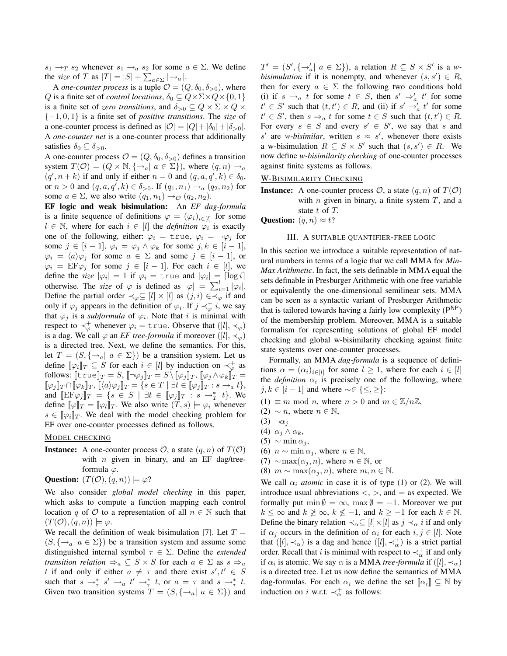$s_1 \rightarrow_T s_2$  whenever  $s_1 \rightarrow_a s_2$  for some  $a \in \Sigma$ . We define the *size* of T as  $|T| = |S| + \sum_{a \in \Sigma} |\rightarrow_a|$ .

A *one-counter process* is a tuple  $\mathcal{O} = (Q, \delta_0, \delta_{>0})$ , where Q is a finite set of *control locations*,  $\delta_0 \subseteq Q \times \Sigma \times Q \times \{0, 1\}$ is a finite set of *zero transitions*, and  $\delta_{>0} \subseteq Q \times \Sigma \times Q \times$ {−1, 0, 1} is a finite set of *positive transitions*. The *size* of a one-counter process is defined as  $|O| = |Q| + |\delta_0| + |\delta_{>0}|$ . A *one-counter net* is a one-counter process that additionally satisfies  $\delta_0 \subseteq \delta_{>0}$ .

A one-counter process  $\mathcal{O} = (Q, \delta_0, \delta_{>0})$  defines a transition system  $T(\mathcal{O}) = (Q \times \mathbb{N}, \{\rightarrow_a | a \in \Sigma\})$ , where  $(q, n) \rightarrow_a$  $(q', n+k)$  if and only if either  $n=0$  and  $(q, a, q', k) \in \delta_0$ , or  $n > 0$  and  $(q, a, q', k) \in \delta_{> 0}$ . If  $(q_1, n_1) \to_a (q_2, n_2)$  for some  $a \in \Sigma$ , we also write  $(q_1, n_1) \rightarrow_{\mathcal{O}} (q_2, n_2)$ .

EF logic and weak bisimulation: An *EF dag-formula* is a finite sequence of definitions  $\varphi = (\varphi_i)_{i \in [l]}$  for some  $l \in \mathbb{N}$ , where for each  $i \in [l]$  the *definition*  $\varphi_i$  is exactly one of the following, either:  $\varphi_i = \text{true}, \varphi_i = \neg \varphi_j$  for some  $j \in [i-1], \varphi_i = \varphi_j \wedge \varphi_k$  for some  $j, k \in [i-1],$  $\varphi_i = \langle a \rangle \varphi_i$  for some  $a \in \Sigma$  and some  $j \in [i - 1]$ , or  $\varphi_i = \text{EF}\varphi_j$  for some  $j \in [i-1]$ . For each  $i \in [l]$ , we define the *size*  $|\varphi_i| = 1$  if  $\varphi_i = \text{true}$  and  $|\varphi_i| = \lceil \log i \rceil$ otherwise. The *size* of  $\varphi$  is defined as  $|\varphi| = \sum_{i=1}^{l} |\varphi_i|$ . Define the partial order  $\prec_{\varphi} \subseteq [l] \times [l]$  as  $(j, i) \in \prec_{\varphi}$  if and only if  $\varphi_j$  appears in the definition of  $\varphi_i$ . If  $j \prec_{\varphi}^{\dagger} i$ , we say that  $\varphi_j$  is a *subformula* of  $\varphi_i$ . Note that i is minimal with respect to  $\prec_{\varphi}^+$  whenever  $\varphi_i = \text{true}$ . Observe that  $([l], \prec_{\varphi})$ is a dag. We call  $\varphi$  an *EF tree-formula* if moreover  $( [l], \prec_{\varphi} )$ is a directed tree. Next, we define the semantics. For this, let  $T = (S, \{\rightarrow_a \mid a \in \Sigma\})$  be a transition system. Let us define  $[\![\varphi_i]\!]_T \subseteq S$  for each  $i \in [l]$  by induction on  $\prec_{\varphi}^+$  as follows:  $[\![\text{true}]\!]_T = S$ ,  $[\![\neg \varphi_j]\!]_T = S \setminus [\![\varphi_j]\!]_T$ ,  $[\![\varphi_j \wedge \varphi_k]\!]_T =$  $[\![\varphi_j]\!]_T \cap [\![\varphi_k]\!]_T, [\![\langle a \rangle \varphi_j]\!]_T = \{s \in T \mid \exists t \in [\![\varphi_j]\!]_T : s \rightarrow_a t\},\$ and  $[\![ \text{EF}\varphi_j ]\!]_T = \{ s \in S \mid \exists t \in [\![ \varphi_j ]\!]_T : s \rightarrow^*_T t \}.$  We define  $[\![\varphi]\!]_T = [\![\varphi_l]\!]_T$ . We also write  $(T, s) \models \varphi_i$  whenever  $s \in [\![\varphi_i]\!]_T$ . We deal with the model checking problem for EF over one-counter processes defined as follows.

### MODEL CHECKING

**Instance:** A one-counter process  $\mathcal{O}$ , a state  $(q, n)$  of  $T(\mathcal{O})$ with  $n$  given in binary, and an EF dag/treeformula  $\varphi$ . Question:  $(T(\mathcal{O}), (q, n)) \models \varphi$ ?

We also consider *global model checking* in this paper, which asks to compute a function mapping each control location q of  $O$  to a representation of all  $n \in \mathbb{N}$  such that  $(T(\mathcal{O}), (q, n)) \models \varphi.$ 

We recall the definition of weak bisimulation [7]. Let  $T =$  $(S, \{\rightarrow_a \mid a \in \Sigma\})$  be a transition system and assume some distinguished internal symbol τ ∈ Σ. Define the *extended transition relation*  $\Rightarrow_a \subseteq S \times S$  for each  $a \in \Sigma$  as  $s \Rightarrow_a$ t if and only if either  $a \neq \tau$  and there exist  $s', t' \in S$ such that  $s \to_{\tau}^* s' \to_a t' \to_{\tau}^* t$ , or  $a = \tau$  and  $s \to_{\tau}^* t$ . Given two transition systems  $T = (S, \{\rightarrow_a | a \in \Sigma\})$  and

 $T' = (S', \{\rightarrow_a' \mid a \in \Sigma\})$ , a relation  $R \subseteq S \times S'$  is a *wbisimulation* if it is nonempty, and whenever  $(s, s') \in R$ , then for every  $a \in \Sigma$  the following two conditions hold (i) if  $s \to a$  t for some  $t \in S$ , then  $s' \Rightarrow'_a t'$  for some  $t' \in S'$  such that  $(t, t') \in R$ , and (ii) if  $s' \rightarrow_a' t'$  for some  $t' \in S'$ , then  $s \Rightarrow_a t$  for some  $t \in S$  such that  $(t, t') \in R$ . For every  $s \in S$  and every  $s' \in S'$ , we say that s and  $s'$  are *w-bisimilar*, written  $s \approx s'$ , whenever there exists a w-bisimulation  $R \subseteq S \times S'$  such that  $(s, s') \in R$ . We now define *w-bisimilarity checking* of one-counter processes against finite systems as follows.

W-BISIMILARITY CHECKING

**Instance:** A one-counter process  $\mathcal{O}$ , a state  $(q, n)$  of  $T(\mathcal{O})$ with  $n$  given in binary, a finite system  $T$ , and a state t of T.

**Question:**  $(q, n) \approx t$ ?

#### III. A SUITABLE QUANTIFIER-FREE LOGIC

In this section we introduce a suitable representation of natural numbers in terms of a logic that we call MMA for *Min-Max Arithmetic*. In fact, the sets definable in MMA equal the sets definable in Presburger Arithmetic with one free variable or equivalently the one-dimensional semilinear sets. MMA can be seen as a syntactic variant of Presburger Arithmetic that is tailored towards having a fairly low complexity (P<sup>NP</sup>) of the membership problem. Moreover, MMA is a suitable formalism for representing solutions of global EF model checking and global w-bisimilarity checking against finite state systems over one-counter processes.

Formally, an MMA *dag-formula* is a sequence of definitions  $\alpha = (\alpha_i)_{i \in [l]}$  for some  $l \geq 1$ , where for each  $i \in [l]$ the *definition*  $\alpha_i$  is precisely one of the following, where *j*,  $k \in [i-1]$  and where ~∈ { $\leq, \geq$ }:

- $(1) \equiv m \mod n$ , where  $n > 0$  and  $m \in \mathbb{Z}/n\mathbb{Z}$ ,
- (2)  $\sim$  *n*, where  $n \in \mathbb{N}$ ,
- $(3) \neg \alpha_i$
- (4)  $\alpha_j \wedge \alpha_k$ ,
- $(5) \sim \min \alpha_i$
- (6)  $n \sim \min \alpha_i$ , where  $n \in \mathbb{N}$ ,
- (7)  $\sim$  max( $\alpha$ <sub>i</sub>, *n*), where  $n \in \mathbb{N}$ , or
- (8)  $m \sim \max(\alpha_i, n)$ , where  $m, n \in \mathbb{N}$ .

We call  $\alpha_i$  *atomic* in case it is of type (1) or (2). We will introduce usual abbreviations  $\langle , \rangle$ , and  $=$  as expected. We formally put  $\min \emptyset = \infty$ ,  $\max \emptyset = -1$ . Moreover we put  $k \leq \infty$  and  $k \geq \infty$ ,  $k \leq -1$ , and  $k \geq -1$  for each  $k \in \mathbb{N}$ . Define the binary relation  $\prec_{\alpha} \subseteq [l] \times [l]$  as  $j \prec_{\alpha} i$  if and only if  $\alpha_j$  occurs in the definition of  $\alpha_i$  for each  $i, j \in [l]$ . Note that  $([l], \prec_{\alpha})$  is a dag and hence  $([l], \prec_{\alpha}^+)$  is a strict partial order. Recall that *i* is minimal with respect to  $\prec_{\alpha}^+$  if and only if  $\alpha_i$  is atomic. We say  $\alpha$  is a MMA *tree-formula* if  $([l], \prec_{\alpha})$ is a directed tree. Let us now define the semantics of MMA dag-formulas. For each  $\alpha_i$  we define the set  $[\![\alpha_i]\!] \subseteq \mathbb{N}$  by induction on i w.r.t.  $\prec_{\alpha}^+$  as follows: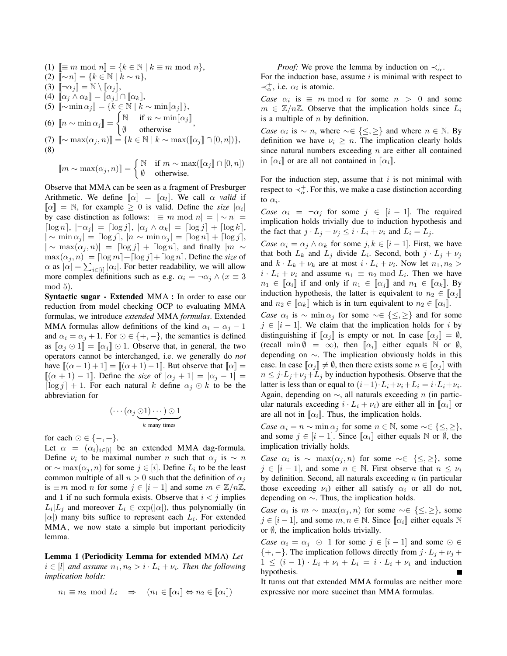(1)  $[\equiv m \mod n] = \{k \in \mathbb{N} \mid k \equiv m \mod n\},\$ (2)  $[\![ \sim n ]\!] = \{k \in \mathbb{N} \mid k \sim n \},\$ (3)  $[\neg \alpha_j] = \mathbb{N} \setminus [\![\alpha_j]\!],$ (4)  $\llbracket \alpha_j \wedge \alpha_k \rrbracket = \llbracket \alpha_j \rrbracket \cap \llbracket \alpha_k \rrbracket,$ (5)  $\[\![\sim \min \alpha_j]\!] = \{\vec{k} \in \mathbb{N} \mid \vec{k} \sim \min[\![\alpha_j]\!]\},\]$ (6)  $\llbracket n \sim \min \alpha_j \rrbracket = \begin{cases} \mathbb{N} & \text{if } n \sim \min[\![\alpha_j]\!] \\ \alpha & \text{if } n \sim \min[\![\alpha_j]\!] \end{cases}$  $\emptyset$  otherwise, (7)  $\llbracket \sim \max(\alpha_j, n) \rrbracket = \{ k \in \mathbb{N} \mid k \sim \max([\alpha_j] \cap [0, n]) \},$ (8)

$$
[\![m \sim \max(\alpha_j, n)]\!] = \begin{cases} \mathbb{N} & \text{if } m \sim \max([\![\alpha_j]\!] \cap [0, n]) \\ \emptyset & \text{otherwise.} \end{cases}
$$

Observe that MMA can be seen as a fragment of Presburger Arithmetic. We define  $[\![\alpha]\!] = [\![\alpha_l]\!]$ . We call  $\alpha$  valid if  $\llbracket \alpha \rrbracket = \mathbb{N}$ , for example  $\geq 0$  is valid. Define the *size*  $|\alpha_i|$ by case distinction as follows:  $|\equiv m \bmod n| = |\sim n|$  $\lceil \log n \rceil, \ \lceil -\alpha_j \rceil = \lceil \log j \rceil, \ \lceil \alpha_j \wedge \alpha_k \rceil = \lceil \log j \rceil + \lceil \log k \rceil,$  $|\sim \min \alpha_j| = \lceil \log j \rceil, |n \sim \min \alpha_j| = \lceil \log n \rceil + \lceil \log j \rceil,$  $|\sim \max(\alpha_j, n)| = \lfloor \log j \rfloor + \lceil \log n \rceil$ , and finally  $|m \sim$  $\max(\alpha_j, n)$  =  $\lceil \log m \rceil + \lceil \log j \rceil + \lceil \log n \rceil$ . Define the *size* of  $\alpha$  as  $|\alpha| = \sum_{i \in [l]} |\alpha_i|$ . For better readability, we will allow more complex definitions such as e.g.  $\alpha_i = \neg \alpha_j \wedge (x \equiv 3)$ mod 5).

Syntactic sugar - Extended MMA : In order to ease our reduction from model checking OCP to evaluating MMA formulas, we introduce *extended* MMA *formulas*. Extended MMA formulas allow definitions of the kind  $\alpha_i = \alpha_j - 1$ and  $\alpha_i = \alpha_j + 1$ . For  $\odot \in \{+, -\}$ , the semantics is defined as  $\lbrack \alpha_i \odot 1 \rbrack = \lbrack \alpha_i \rbrack \odot 1$ . Observe that, in general, the two operators cannot be interchanged, i.e. we generally do *not* have  $[(\alpha - 1) + 1] = [(\alpha + 1) - 1]$ . But observe that  $[\alpha] =$  $[(\alpha + 1) - 1]$ . Define the *size* of  $|\alpha_i + 1| = |\alpha_i - 1|$  $\lceil \log j \rceil + 1$ . For each natural k define  $\alpha_j \odot k$  to be the abbreviation for

$$
\underbrace{(\cdots(\alpha_j \underbrace{\odot 1)\cdots})\odot 1}_{k \text{ many times}}
$$

for each  $\odot \in \{-, +\}.$ 

Let  $\alpha = (\alpha_i)_{i \in [l]}$  be an extended MMA dag-formula. Define  $\nu_i$  to be maximal number n such that  $\alpha_j$  is  $\sim n$ or  $\sim \max(\alpha_j, n)$  for some  $j \in [i]$ . Define  $L_i$  to be the least common multiple of all  $n > 0$  such that the definition of  $\alpha_j$ is  $\equiv$  *m* mod *n* for some  $j \in [i-1]$  and some  $m \in \mathbb{Z}/n\mathbb{Z}$ , and 1 if no such formula exists. Observe that  $i < j$  implies  $L_i|L_j$  and moreover  $L_i \in \exp(|\alpha|)$ , thus polynomially (in  $|\alpha|$ ) many bits suffice to represent each  $L_i$ . For extended MMA, we now state a simple but important periodicity lemma.

Lemma 1 (Periodicity Lemma for extended MMA) *Let*  $i \in [l]$  and assume  $n_1, n_2 > i \cdot L_i + \nu_i$ . Then the following *implication holds:*

$$
n_1 \equiv n_2 \mod L_i \quad \Rightarrow \quad (n_1 \in [\![\alpha_i]\!] \Leftrightarrow n_2 \in [\![\alpha_i]\!])
$$

*Proof:* We prove the lemma by induction on  $\prec_{\alpha}^+$ .

For the induction base, assume  $i$  is minimal with respect to  $\prec_{\alpha}^+$ , i.e.  $\alpha_i$  is atomic.

*Case*  $\alpha_i$  is  $\equiv$  *m* mod *n* for some  $n > 0$  and some  $m \in \mathbb{Z}/n\mathbb{Z}$ . Observe that the implication holds since  $L_i$ is a multiple of  $n$  by definition.

*Case*  $\alpha_i$  is  $\sim n$ , where  $\sim \in \{\leq, \geq\}$  and where  $n \in \mathbb{N}$ . By definition we have  $\nu_i \geq n$ . The implication clearly holds since natural numbers exceeding  $n$  are either all contained in  $[\![\alpha_i]\!]$  or are all not contained in  $[\![\alpha_i]\!]$ .

For the induction step, assume that  $i$  is not minimal with respect to  $\prec_{\alpha}^+$ . For this, we make a case distinction according to  $\alpha_i$ .

*Case*  $\alpha_i = \neg \alpha_j$  for some  $j \in [i-1]$ . The required implication holds trivially due to induction hypothesis and the fact that  $j \cdot L_j + \nu_j \leq i \cdot L_i + \nu_i$  and  $L_i = L_j$ .

*Case*  $\alpha_i = \alpha_j \wedge \alpha_k$  for some  $j, k \in [i-1]$ . First, we have that both  $L_k$  and  $L_j$  divide  $L_i$ . Second, both  $j \cdot L_j + \nu_j$ and  $k \cdot L_k + \nu_k$  are at most  $i \cdot L_i + \nu_i$ . Now let  $n_1, n_2 >$  $i \cdot L_i + \nu_i$  and assume  $n_1 \equiv n_2 \mod L_i$ . Then we have  $n_1 \in \llbracket \alpha_i \rrbracket$  if and only if  $n_1 \in \llbracket \alpha_j \rrbracket$  and  $n_1 \in \llbracket \alpha_k \rrbracket$ . By induction hypothesis, the latter is equivalent to  $n_2 \in [\![\alpha_j]\!]$ and  $n_2 \in [\![\alpha_k]\!]$  which is in turn equivalent to  $n_2 \in [\![\alpha_i]\!]$ .

*Case*  $\alpha_i$  is ∼ min  $\alpha_j$  for some ~∈ {≤, ≥} and for some  $j \in [i-1]$ . We claim that the implication holds for i by distinguishing if  $\lbrack \alpha_i \rbrack$  is empty or not. In case  $\lbrack \alpha_i \rbrack = \emptyset$ , (recall  $\min \emptyset = \infty$ ), then  $[\![\alpha_i]\!]$  either equals  $\stackrel{\sim}{\mathbb{N}}$  or  $\emptyset$ , depending on ∼. The implication obviously holds in this case. In case  $\llbracket \alpha_j \rrbracket \neq \emptyset$ , then there exists some  $n \in \llbracket \alpha_j \rrbracket$  with  $n \leq j \cdot L_i + \nu_i + L_j$  by induction hypothesis. Observe that the latter is less than or equal to  $(i-1)\cdot L_i + \nu_i + L_i = i \cdot L_i + \nu_i$ . Again, depending on  $\sim$ , all naturals exceeding *n* (in particular naturals exceeding  $i \cdot L_i + \nu_i$ ) are either all in  $[\![\alpha_i]\!]$  or are all not in  $[\![\alpha_i]\!]$ . Thus, the implication holds.

*Case*  $\alpha_i = n \sim \min \alpha_j$  for some  $n \in \mathbb{N}$ , some  $\sim \in \{\leq, \geq\},$ and some  $j \in [i-1]$ . Since  $[\![\alpha_i]\!]$  either equals  $\mathbb N$  or  $\emptyset$ , the implication trivially holds.

*Case*  $\alpha_i$  is ~ max $(\alpha_j, n)$  for some ~∈ {≤, ≥}, some  $j \in [i-1]$ , and some  $n \in \mathbb{N}$ . First observe that  $n \leq \nu_i$ by definition. Second, all naturals exceeding  $n$  (in particular those exceeding  $\nu_i$ ) either all satisfy  $\alpha_i$  or all do not, depending on ∼. Thus, the implication holds.

*Case*  $\alpha_i$  is  $m \sim \max(\alpha_j, n)$  for some ~∈ {≤, ≥}, some  $j \in [i-1]$ , and some  $m, n \in \mathbb{N}$ . Since  $[\![\alpha_i]\!]$  either equals  $\mathbb N$ or  $\emptyset$ , the implication holds trivially.

*Case*  $\alpha_i = \alpha_j \odot 1$  for some  $j \in [i-1]$  and some  $\odot \in$  $\{+, -\}.$  The implication follows directly from  $j \cdot L_i + \nu_i + \nu_j$  $1 \leq (i-1) \cdot L_i + \nu_i + L_i = i \cdot L_i + \nu_i$  and induction hypothesis.

It turns out that extended MMA formulas are neither more expressive nor more succinct than MMA formulas.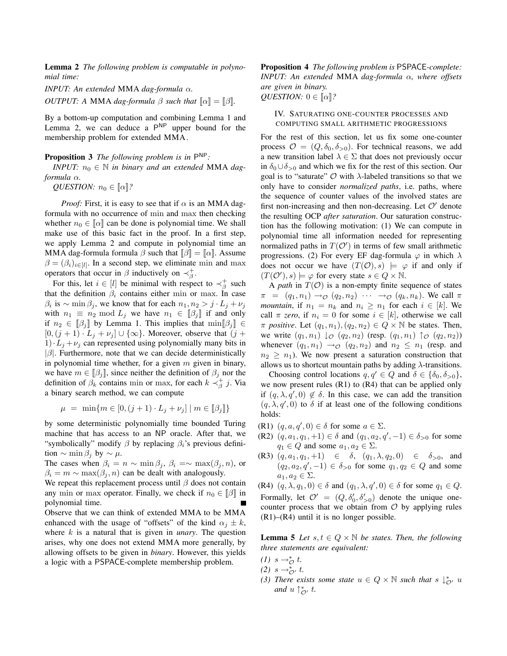Lemma 2 *The following problem is computable in polynomial time:*

*INPUT: An extended* MMA *dag-formula* α*. OUTPUT: A MMA dag-formula*  $\beta$  *such that*  $\llbracket \alpha \rrbracket = \llbracket \beta \rrbracket$ .

By a bottom-up computation and combining Lemma 1 and Lemma 2, we can deduce a  $P^{NP}$  upper bound for the membership problem for extended MMA.

# Proposition 3 *The following problem is in* P NP*:*

*INPUT:*  $n_0 \in \mathbb{N}$  *in binary and an extended* MMA *dagformula* α*.*

*QUESTION:*  $n_0 \in [\![\alpha]\!]$ ?

*Proof:* First, it is easy to see that if  $\alpha$  is an MMA dagformula with no occurrence of min and max then checking whether  $n_0 \in \llbracket \alpha \rrbracket$  can be done is polynomial time. We shall make use of this basic fact in the proof. In a first step, we apply Lemma 2 and compute in polynomial time an MMA dag-formula formula  $\beta$  such that  $\|\beta\| = \|\alpha\|$ . Assume  $\beta = (\beta_i)_{i \in [l]}$ . In a second step, we eliminate min and max operators that occur in  $\beta$  inductively on  $\prec_{\beta}^+$ .

For this, let  $i \in [l]$  be minimal with respect to  $\prec_{\beta}^+$  such that the definition  $\beta_i$  contains either min or max. In case  $\beta_i$  is  $\sim$  min  $\beta_j$ , we know that for each  $n_1, n_2 > j \cdot L_j + \nu_j$ with  $n_1 \equiv n_2 \mod L_j$  we have  $n_1 \in [\![\beta_j]\!]$  if and only if  $n_2 \in [\![\beta_j]\!]$  by Lemma 1. This implies that  $\min[\![\beta_j]\!] \in$  $[0,(j + 1) \cdot L_j + \nu_j] \cup {\infty}$ . Moreover, observe that  $(j +$  $1) \cdot L_i + \nu_i$  can represented using polynomially many bits in  $|\beta|$ . Furthermore, note that we can decide deterministically in polynomial time whether, for a given  $m$  given in binary, we have  $m \in [\![\beta_j]\!]$ , since neither the definition of  $\beta_j$  nor the definition of  $\beta_k$  contains min or max, for each  $k \prec_{\beta}^{\dagger} j$ . Via a binary search method, we can compute

$$
\mu = \min\{m \in [0, (j+1) \cdot L_j + \nu_j] \mid m \in [\![\beta_j]\!]\}
$$

by some deterministic polynomially time bounded Turing machine that has access to an NP oracle. After that, we "symbolically" modify  $\beta$  by replacing  $\beta_i$ 's previous definition  $\sim$  min  $\beta_i$  by  $\sim \mu$ .

The cases when  $\beta_i = n \sim \min \beta_j$ ,  $\beta_i = \sim \max(\beta_j, n)$ , or  $\beta_i = m \sim \max(\beta_i, n)$  can be dealt with analogously.

We repeat this replacement process until  $\beta$  does not contain any min or max operator. Finally, we check if  $n_0 \in [\![\beta]\!]$  in polynomial time.

Observe that we can think of extended MMA to be MMA enhanced with the usage of "offsets" of the kind  $\alpha_i \pm k$ , where k is a natural that is given in *unary*. The question arises, why one does not extend MMA more generally, by allowing offsets to be given in *binary*. However, this yields a logic with a PSPACE-complete membership problem.

Proposition 4 *The following problem is* PSPACE*-complete: INPUT: An extended* MMA *dag-formula* α*, where offsets are given in binary.*

*QUESTION:*  $0 \in [\![\alpha]\!]$ ?

IV. SATURATING ONE-COUNTER PROCESSES AND COMPUTING SMALL ARITHMETIC PROGRESSIONS

For the rest of this section, let us fix some one-counter process  $\mathcal{O} = (Q, \delta_0, \delta_{>0})$ . For technical reasons, we add a new transition label  $\lambda \in \Sigma$  that does not previously occur in  $\delta_0 \cup \delta_{>0}$  and which we fix for the rest of this section. Our goal is to "saturate"  $\mathcal O$  with  $\lambda$ -labeled transitions so that we only have to consider *normalized paths*, i.e. paths, where the sequence of counter values of the involved states are first non-increasing and then non-decreasing. Let  $\mathcal{O}'$  denote the resulting OCP *after saturation*. Our saturation construction has the following motivation: (1) We can compute in polynomial time all information needed for representing normalized paths in  $T(\mathcal{O}')$  in terms of few small arithmetic progressions. (2) For every EF dag-formula  $\varphi$  in which  $\lambda$ does not occur we have  $(T(\mathcal{O}), s) \models \varphi$  if and only if  $(T(\mathcal{O}'), s) \models \varphi$  for every state  $s \in Q \times \mathbb{N}$ .

A *path* in  $T(\mathcal{O})$  is a non-empty finite sequence of states  $\pi = (q_1, n_1) \rightarrow \infty (q_2, n_2) \cdots \rightarrow \infty (q_k, n_k)$ . We call  $\pi$ *mountain*, if  $n_1 = n_k$  and  $n_i \geq n_1$  for each  $i \in [k]$ . We call  $\pi$  *zero*, if  $n_i = 0$  for some  $i \in [k]$ , otherwise we call  $\pi$  *positive*. Let  $(q_1, n_1), (q_2, n_2) \in Q \times \mathbb{N}$  be states. Then, we write  $(q_1, n_1) \downarrow \circ (q_2, n_2)$  (resp.  $(q_1, n_1) \uparrow \circ (q_2, n_2)$ ) whenever  $(q_1, n_1) \rightarrow o \ (q_2, n_2)$  and  $n_2 \leq n_1$  (resp. and  $n_2 \geq n_1$ ). We now present a saturation construction that allows us to shortcut mountain paths by adding  $\lambda$ -transitions.

Choosing control locations  $q, q' \in Q$  and  $\delta \in {\delta_0, \delta_{>0}}$ , we now present rules (R1) to (R4) that can be applied only if  $(q, \lambda, q', 0) \notin \delta$ . In this case, we can add the transition  $(q, \lambda, q', 0)$  to  $\delta$  if at least one of the following conditions holds:

- (R1)  $(q, a, q', 0) \in \delta$  for some  $a \in \Sigma$ .
- (R2)  $(q, a_1, q_1, +1) \in \delta$  and  $(q_1, a_2, q', -1) \in \delta_{>0}$  for some  $q_1 \in Q$  and some  $a_1, a_2 \in \Sigma$ .
- (R3)  $(q, a_1, q_1, +1) \in \delta$ ,  $(q_1, \lambda, q_2, 0) \in \delta_{>0}$ , and  $(q_2, a_2, q', -1) \in \delta_{>0}$  for some  $q_1, q_2 \in Q$  and some  $a_1, a_2 \in \Sigma.$

(R4)  $(q, \lambda, q_1, 0) \in \delta$  and  $(q_1, \lambda, q', 0) \in \delta$  for some  $q_1 \in Q$ .

Formally, let  $\mathcal{O}' = (Q, \delta'_0, \delta'_{>0})$  denote the unique onecounter process that we obtain from  $\mathcal O$  by applying rules  $(R1)$ – $(R4)$  until it is no longer possible.

**Lemma 5** *Let*  $s, t \in Q \times \mathbb{N}$  *be states. Then, the following three statements are equivalent:*

- $(1)$  s →  $*$ <sub>○</sub> t.
- $(2)$  *s* →  $*_{\mathcal{O}}^*$ *t.*
- (3) There exists some state  $u \in Q \times \mathbb{N}$  such that  $s \downarrow_{\mathcal{O}}^* u$ and  $u \uparrow_{\mathcal{O}'}^* t$ .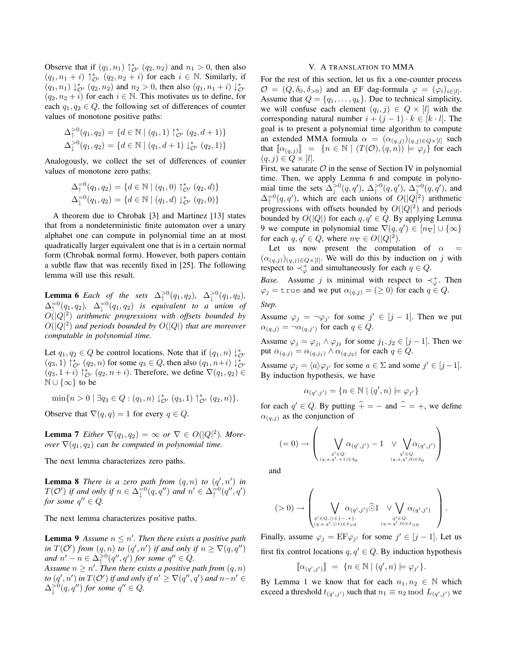Observe that if  $(q_1, n_1) \uparrow_{\mathcal{O}'}^* (q_2, n_2)$  and  $n_1 > 0$ , then also  $(q_1, n_1 + i)$   $\uparrow_{\mathcal{O}}^*$   $(q_2, n_2 + i)$  for each  $i \in \mathbb{N}$ . Similarly, if  $(q_1, n_1) \downarrow^*_{\mathcal{O}'} (q_2, n_2)$  and  $n_2 > 0$ , then also  $(q_1, n_1 + i) \downarrow^*_{\mathcal{O}'}$  $(q_2, n_2 + i)$  for each  $i \in \mathbb{N}$ . This motivates us to define, for each  $q_1, q_2 \in Q$ , the following set of differences of counter values of monotone positive paths:

$$
\Delta_{\uparrow}^{>0}(q_1, q_2) = \{ d \in \mathbb{N} \mid (q_1, 1) \uparrow_{\mathcal{O}'}^* (q_2, d+1) \}
$$
  

$$
\Delta_{\downarrow}^{>0}(q_1, q_2) = \{ d \in \mathbb{N} \mid (q_1, d+1) \downarrow_{\mathcal{O}'}^* (q_2, 1) \}
$$

Analogously, we collect the set of differences of counter values of monotone zero paths:

$$
\Delta_{\uparrow}^{=0}(q_1, q_2) = \{ d \in \mathbb{N} \mid (q_1, 0) \uparrow_{\mathcal{O}'}^* (q_2, d) \}
$$
  

$$
\Delta_{\downarrow}^{=0}(q_1, q_2) = \{ d \in \mathbb{N} \mid (q_1, d) \downarrow_{\mathcal{O}'}^* (q_2, 0) \}
$$

A theorem due to Chrobak [3] and Martinez [13] states that from a nondeterministic finite automaton over a unary alphabet one can compute in polynomial time an at most quadratically larger equivalent one that is in a certain normal form (Chrobak normal form). However, both papers contain a subtle flaw that was recently fixed in [25]. The following lemma will use this result.

**Lemma 6** *Each of the sets*  $\Delta_{\uparrow}^{>0}(q_1, q_2)$ ,  $\Delta_{\downarrow}^{>0}(q_1, q_2)$ ,  $\Delta_{\uparrow}^{=0}(q_1,q_2)$ ,  $\Delta_{\downarrow}^{=0}(q_1,q_2)$  *is equivalent to a union of* O(|Q| 2 ) *arithmetic progressions with offsets bounded by*  $O(|Q|^2)$  and periods bounded by  $O(|Q|)$  that are moreover *computable in polynomial time.*

Let  $q_1, q_2 \in Q$  be control locations. Note that if  $(q_1, n) \downarrow^*_{Q'}$  $(q_3, 1)$   $\uparrow_{\mathcal{O}}^*$   $(q_2, n)$  for some  $q_3 \in Q$ , then also  $(q_1, n+i) \downarrow_{\mathcal{O}}^*$  $(q_3, 1+i)$   $\uparrow_{\mathcal{O}}^*$   $(q_2, n+i)$ . Therefore, we define  $\nabla(q_1, q_2) \in$  $\mathbb{N} \cup \{\infty\}$  to be

$$
\min\{n>0\mid \exists q_3\in Q:(q_1,n)\downarrow^*_{\mathcal{O}'}(q_3,1)\uparrow^*_{\mathcal{O}'}(q_2,n)\}.
$$

Observe that  $\nabla(q,q) = 1$  for every  $q \in Q$ .

**Lemma 7** *Either*  $\nabla(q_1, q_2) = \infty$  *or*  $\nabla \in O(|Q|^2)$ *. Moreover*  $\nabla(q_1, q_2)$  *can be computed in polynomial time.* 

The next lemma characterizes zero paths.

**Lemma 8** *There is a zero path from*  $(q, n)$  *to*  $(q', n')$  *in*  $T(\mathcal{O}')$  if and only if  $n \in \Delta_{\downarrow}^{=0}(q, q'')$  and  $n' \in \Delta_{\uparrow}^{=0}(q'', q')$ *for some*  $q'' \in Q$ *.* 

The next lemma characterizes positive paths.

**Lemma 9** Assume  $n \leq n'$ . Then there exists a positive path *in*  $T(\mathcal{O}')$  *from*  $(q, n)$  *to*  $(q', n')$  *if and only if*  $n \geq \nabla(q, q'')$ *and*  $n' - n \in \Delta^{\geq 0}_{\uparrow}(q'', q')$  *for some*  $q'' \in Q$ *.* 

Assume  $n \geq n'$ . Then there exists a positive path from  $(q, n)$ *to*  $(q', n')$  *in*  $T(\mathcal{O}')$  *if and only if*  $n' \geq \nabla(q'', q')$  *and*  $n - n' \in$  $\Delta_{\downarrow}^{>0}(q,q'')$  for some  $q'' \in Q$ .

#### V. A TRANSLATION TO MMA

For the rest of this section, let us fix a one-counter process  $\mathcal{O} = (Q, \delta_0, \delta_{>0})$  and an EF dag-formula  $\varphi = (\varphi_i)_{i \in [l]}$ . Assume that  $Q = \{q_1, \ldots, q_k\}$ . Due to technical simplicity, we will confuse each element  $(q_i, j) \in Q \times [l]$  with the corresponding natural number  $i + (j - 1) \cdot k \in [k \cdot l]$ . The goal is to present a polynomial time algorithm to compute an extended MMA formula  $\alpha = (\alpha_{(q,j)})_{(q,j) \in Q \times [l]}$  such that  $\llbracket \alpha_{(q,j)} \rrbracket = \{ n \in \mathbb{N} \mid (T(\mathcal{O}), (q,n)) \models \varphi_j \}$  for each  $(q, j) \in Q \times [l].$ 

First, we saturate  $\mathcal O$  in the sense of Section IV in polynomial time. Then, we apply Lemma 6 and compute in polynomial time the sets  $\Delta_{\downarrow}^{>0}(q,q'), \Delta_{\uparrow}^{>0}(q,q'), \Delta_{\downarrow}^{=0}(q,q')$ , and  $\Delta_{\uparrow}^{=0}(q,q')$ , which are each unions of  $O(|Q|^2)$  arithmetic progressions with offsets bounded by  $O(|Q|^2)$  and periods bounded by  $O(|Q|)$  for each  $q, q' \in Q$ . By applying Lemma 9 we compute in polynomial time  $\nabla(q,q') \in [n_{\nabla}] \cup \{\infty\}$ for each  $q, q' \in Q$ , where  $n_{\nabla} \in O(|Q|^2)$ .

Let us now present the computation of  $\alpha$  =  $(\alpha_{(q,j)})_{(q,j)\in Q\times[l]}$ . We will do this by induction on j with respect to  $\prec_{\varphi}^+$  and simultaneously for each  $q \in Q$ .

*Base.* Assume *j* is minimal with respect to  $\prec_{\varphi}^{\dagger}$ . Then  $\varphi_j = \text{true}$  and we put  $\alpha_{(q,j)} = (\geq 0)$  for each  $q \in Q$ .

*Step.*

Assume  $\varphi_j = \neg \varphi_{j'}$  for some  $j' \in [j-1]$ . Then we put  $\alpha_{(q,j)} = \neg \alpha_{(q,j')}$  for each  $q \in Q$ .

Assume  $\varphi_j = \varphi_{j_1} \wedge \varphi_{j_2}$  for some  $j_1, j_2 \in [j-1]$ . Then we put  $\alpha_{(q,j)} = \alpha_{(q,j_1)} \wedge \alpha_{(q,j_2)}$  for each  $q \in Q$ .

Assume  $\varphi_j = \langle a \rangle \varphi_{j'}$  for some  $a \in \Sigma$  and some  $j' \in [j-1]$ . By induction hypothesis, we have

$$
\alpha_{(q',j')} = \{ n \in \mathbb{N} \mid (q',n) \models \varphi_{j'} \}
$$

for each  $q' \in Q$ . By putting  $\hat{+} = -$  and  $\hat{-} = +$ , we define  $\alpha_{(q,j)}$  as the conjunction of

$$
(=0) \rightarrow \left(\bigvee_{\stackrel{q'\in Q:}{(q,a,q',1)\in\delta_0}}\alpha_{(q',j')} -1 \quad \vee \bigvee_{\stackrel{q'\in Q:}{(q,a,q',0)\in\delta_0}}\alpha_{(q',j')}
$$

and

$$
(>0)\rightarrow \left(\bigvee_{\substack{q'\in Q,\bigcirc\in\{-,+\}:\\(q,a,q',\bigcirc\,1)\in\delta_{>0}}}\alpha_{(q',j')}\widehat{\odot}1\quad\vee\bigvee_{\substack{q'\in Q:\\(q,a,q',\bigcirc\,2)\in\delta_{>0}}}\alpha_{(q',j')}\right).
$$

Finally, assume  $\varphi_j = \text{EF}\varphi_{j'}$  for some  $j' \in [j-1]$ . Let us first fix control locations  $q, q' \in Q$ . By induction hypothesis

$$
\llbracket \alpha_{(q',j')} \rrbracket = \{ n \in \mathbb{N} \mid (q',n) \models \varphi_{j'} \}.
$$

By Lemma 1 we know that for each  $n_1, n_2 \in \mathbb{N}$  which exceed a threshold  $t_{(q',j')}$  such that  $n_1 \equiv n_2 \mod L_{(q',j')}$  we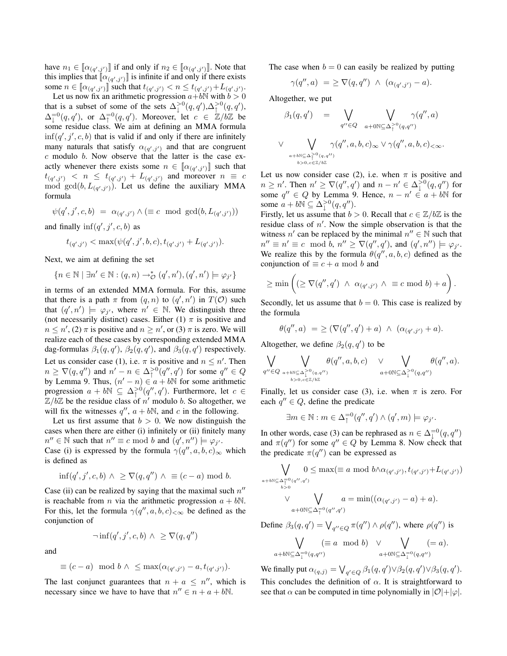have  $n_1 \in [\alpha_{(q',j')}]$  if and only if  $n_2 \in [\alpha_{(q',j')}]$ . Note that this implies that  $[\alpha_{(q',j')}]$  is infinite if and only if there exists some  $n \in [\![\alpha_{(q',j')}]\!]$  such that  $t_{(q',j')} < n \leq t_{(q',j')} + L_{(q',j')}$ .

Let us now fix an arithmetic progression  $a+b\mathbb{N}$  with  $b > 0$ that is a subset of some of the sets  $\Delta_{\downarrow}^{>0}(q,q'), \Delta_{\uparrow}^{>0}(q,q'),$  $\Delta_{\downarrow}^{=0}(q,q')$ , or  $\Delta_{\uparrow}^{=0}(q,q')$ . Moreover, let  $c \in \mathbb{Z}/b\mathbb{Z}$  be some residue class. We aim at defining an MMA formula  $\inf(q', j', c, b)$  that is valid if and only if there are infinitely many naturals that satisfy  $\alpha_{(q',j')}$  and that are congruent  $c$  modulo  $b$ . Now observe that the latter is the case exactly whenever there exists some  $n \in [\alpha_{(q',j')}]$  such that  $t_{(q',j')}$   $\langle n \leq t_{(q',j')} + L_{(q',j')}$  and moreover  $n \equiv c$ mod  $gcd(b, L_{(q',j')})$ . Let us define the auxiliary MMA formula

$$
\psi(q',j',c,b) \ = \ \alpha_{(q',j')} \wedge (\equiv c \mod \gcd(b,L_{(q',j')}))
$$

and finally  $\inf(q', j', c, b)$  as

$$
t_{(q',j')} < \max(\psi(q',j',b,c), t_{(q',j')} + L_{(q',j')}).
$$

Next, we aim at defining the set

$$
\{n\in\mathbb{N}\mid \exists n'\in\mathbb{N}:(q,n)\rightarrow_{\mathcal{O}}^*(q',n'),(q',n')\models\varphi_{j'}\}
$$

in terms of an extended MMA formula. For this, assume that there is a path  $\pi$  from  $(q, n)$  to  $(q', n')$  in  $T(\mathcal{O})$  such that  $(q', n') \models \varphi_{j'}$ , where  $n' \in \mathbb{N}$ . We distinguish three (not necessarily distinct) cases. Either (1)  $\pi$  is positive and  $n \leq n'$ , (2)  $\pi$  is positive and  $n \geq n'$ , or (3)  $\pi$  is zero. We will realize each of these cases by corresponding extended MMA dag-formulas  $\beta_1(q,q')$ ,  $\beta_2(q,q')$ , and  $\beta_3(q,q')$  respectively. Let us consider case (1), i.e.  $\pi$  is positive and  $n \leq n'$ . Then  $n \geq \nabla(q, q'')$  and  $n' - n \in \Delta_{\uparrow}^{>0}(q'', q')$  for some  $q'' \in Q$ by Lemma 9. Thus,  $(n' - n) \in a + b\mathbb{N}$  for some arithmetic progression  $a + b \mathbb{N} \subseteq \Delta_{\uparrow}^{>0}(q'', q')$ . Furthermore, let  $c \in$  $\mathbb{Z}/b\mathbb{Z}$  be the residue class of n' modulo b. So altogether, we will fix the witnesses  $q''$ ,  $a + bN$ , and c in the following.

Let us first assume that  $b > 0$ . We now distinguish the cases when there are either (i) infinitely or (ii) finitely many  $n'' \in \mathbb{N}$  such that  $n'' \equiv c \mod b$  and  $(q', n'') \models \varphi_{j'}$ .

Case (i) is expressed by the formula  $\gamma(q'', a, b, c)_{\infty}$  which is defined as

$$
\inf(q',j',c,b) \wedge \geq \nabla(q,q'') \wedge \equiv (c-a) \bmod b.
$$

Case (ii) can be realized by saying that the maximal such  $n''$ is reachable from *n* via the arithmetic progression  $a + bN$ . For this, let the formula  $\gamma(q'', a, b, c)_{< \infty}$  be defined as the conjunction of

$$
\neg\inf(q',j',c,b)\ \wedge\ \geq \nabla(q,q'')
$$

and

$$
\equiv (c-a) \mod b \land \leq \max(\alpha_{(q',j')}-a,t_{(q',j')}).
$$

The last conjunct guarantees that  $n + a \leq n''$ , which is necessary since we have to have that  $n'' \in n + a + b\mathbb{N}$ .

The case when  $b = 0$  can easily be realized by putting

$$
\gamma(q'',a) = \geq \nabla(q,q'') \ \wedge \ (\alpha_{(q',j')} - a).
$$

Altogether, we put

$$
\beta_1(q,q') = \bigvee_{q'' \in Q} \bigvee_{a+0 \mathbb{N} \subseteq \Delta_{\uparrow}^{>0}(q,q'')} \gamma(q'',a)
$$
\n
$$
\vee \bigvee_{\substack{a+b \mathbb{N} \subseteq \Delta_{\uparrow}^{>0}(q,q'')} \gamma(q'',a,b,c)_{\infty} \vee \gamma(q'',a,b,c)_{\leq \infty}} \gamma(q''',a,b,c)_{\leq \in \Delta_{\downarrow}^{>0}(q,q'')}
$$

Let us now consider case (2), i.e. when  $\pi$  is positive and  $n \geq n'$ . Then  $n' \geq \nabla(q'', q')$  and  $n - n' \in \Delta_{\downarrow}^{>0}(q, q'')$  for some  $q'' \in Q$  by Lemma 9. Hence,  $n - n' \in a + b\mathbb{N}$  for some  $a + b \mathbb{N} \subseteq \Delta^{\geq 0}_\downarrow(q, q'').$ 

Firstly, let us assume that  $b > 0$ . Recall that  $c \in \mathbb{Z}/b\mathbb{Z}$  is the residue class of  $n'$ . Now the simple observation is that the witness  $n'$  can be replaced by the minimal  $n'' \in \mathbb{N}$  such that  $n'' \equiv n' \equiv c \mod b, n'' \geq \nabla(q'', q'), \text{ and } (q', n'') \models \varphi_{j'}.$ We realize this by the formula  $\theta(q'', a, b, c)$  defined as the conjunction of  $\equiv c + a \mod b$  and

$$
\geq \min\left( (\geq \nabla(q'',q') \ \wedge \ \alpha_{(q',j')} \ \wedge \ \equiv c \bmod b) + a \right).
$$

Secondly, let us assume that  $b = 0$ . This case is realized by the formula

$$
\theta(q'',a) \ = \geq (\nabla(q'',q')+a) \ \wedge \ (\alpha_{(q',j')}+a).
$$

Altogether, we define  $\beta_2(q,q')$  to be

$$
\bigvee_{q''\in Q}\bigvee_{\substack{a+b\mathbb{N}\subseteq \Delta^{\geq 0}_{\xi}(q,q'')\\b>0,c\in \mathbb{Z}/b\mathbb{Z}}} \theta(q'',a,b,c)\quad \vee \hspace{0.5cm} \bigvee_{a+\mathbf{0}\mathbb{N}\subseteq \Delta^{\geq 0}_{\xi}(q,q'')} \theta(q'',a).
$$

Finally, let us consider case (3), i.e. when  $\pi$  is zero. For each  $q'' \in Q$ , define the predicate

$$
\exists m \in \mathbb{N} : m \in \Delta_{\uparrow}^{=0}(q'', q') \wedge (q', m) \models \varphi_{j'}.
$$

In other words, case (3) can be rephrased as  $n \in \Delta_{\downarrow}^{=0}(q, q'')$ and  $\pi(q'')$  for some  $q'' \in Q$  by Lemma 8. Now check that the predicate  $\pi(q'')$  can be expressed as

$$
\bigvee_{a+b\mathbb{N}\subseteq \Delta_{\mathbb{T}}^{-0}(q'',q')} 0 \leq \max(\equiv a \mod b \wedge \alpha_{(q',j')}, t_{(q',j')} + L_{(q',j')})
$$
  

$$
\vee \bigvee_{a+b\mathbb{N}\subseteq \Delta_{\mathbb{T}}^{-0}(q'',q')} a = \min((\alpha_{(q',j')}-a)+a).
$$

Define  $\beta_3(q,q') = \bigvee_{q'' \in Q} \pi(q'') \wedge \rho(q'')$ , where  $\rho(q'')$  is

$$
\bigvee_{a+b\mathbb{N}\subseteq \Delta_{\mathbb{I}}^{-0}(q,q'')} (\equiv a \mod b) \quad \vee \bigvee_{a+\mathbb{O}\mathbb{N}\subseteq \Delta_{\mathbb{I}}^{-0}(q,q'')} (=a).
$$

We finally put  $\alpha_{(q,j)} = \bigvee_{q' \in Q} \beta_1(q,q') \vee \beta_2(q,q') \vee \beta_3(q,q').$ This concludes the definition of  $\alpha$ . It is straightforward to see that  $\alpha$  can be computed in time polynomially in  $|\mathcal{O}| + |\varphi|$ .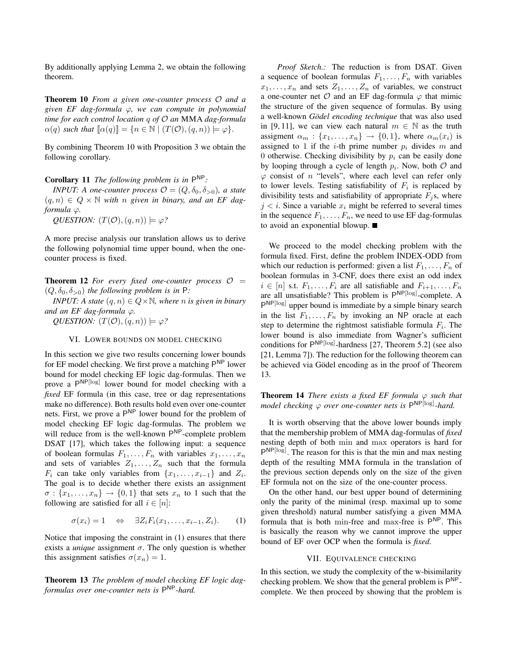By additionally applying Lemma 2, we obtain the following theorem.

Theorem 10 *From a given one-counter process* O *and a given EF dag-formula* ϕ*, we can compute in polynomial time for each control location* q *of* O *an* MMA *dag-formula*  $\alpha(q)$  *such that*  $[\![\alpha(q)]\!] = \{n \in \mathbb{N} \mid (T(\mathcal{O}), (q, n)) \models \varphi\}.$ 

By combining Theorem 10 with Proposition 3 we obtain the following corollary.

# Corollary 11 *The following problem is in* P NP*:*

*INPUT:* A one-counter process  $\mathcal{O} = (Q, \delta_0, \delta_{>0})$ , a state  $(q, n) \in Q \times \mathbb{N}$  with *n* given in binary, and an EF dag*formula*  $φ$ *.* 

*QUESTION:*  $(T(\mathcal{O}), (q, n)) \models \varphi$ ?

A more precise analysis our translation allows us to derive the following polynomial time upper bound, when the onecounter process is fixed.

**Theorem 12** *For every fixed one-counter process*  $\mathcal{O}$  =  $(Q, \delta_0, \delta_{>0})$  *the following problem is in* P:

*INPUT:* A state  $(q, n) \in Q \times \mathbb{N}$ , where *n* is given in binary *and an EF dag-formula*  $\varphi$ *.* 

*QUESTION:*  $(T(\mathcal{O}), (q, n)) \models \varphi$ ?

## VI. LOWER BOUNDS ON MODEL CHECKING

In this section we give two results concerning lower bounds for EF model checking. We first prove a matching P<sup>NP</sup> lower bound for model checking EF logic dag-formulas. Then we prove a P<sup>NP[log]</sup> lower bound for model checking with a *fixed* EF formula (in this case, tree or dag representations make no difference). Both results hold even over one-counter nets. First, we prove a P<sup>NP</sup> lower bound for the problem of model checking EF logic dag-formulas. The problem we will reduce from is the well-known P<sup>NP</sup>-complete problem DSAT [17], which takes the following input: a sequence of boolean formulas  $F_1, \ldots, F_n$  with variables  $x_1, \ldots, x_n$ and sets of variables  $Z_1, \ldots, Z_n$  such that the formula  $F_i$  can take only variables from  $\{x_1, \ldots, x_{i-1}\}$  and  $Z_i$ . The goal is to decide whether there exists an assignment  $\sigma : \{x_1, \ldots, x_n\} \to \{0, 1\}$  that sets  $x_n$  to 1 such that the following are satisfied for all  $i \in [n]$ :

$$
\sigma(x_i) = 1 \quad \Leftrightarrow \quad \exists Z_i F_i(x_1, \dots, x_{i-1}, Z_i). \tag{1}
$$

Notice that imposing the constraint in (1) ensures that there exists a *unique* assignment  $\sigma$ . The only question is whether this assignment satisfies  $\sigma(x_n) = 1$ .

Theorem 13 *The problem of model checking EF logic dagformulas over one-counter nets is* P NP*-hard.*

*Proof Sketch.:* The reduction is from DSAT. Given a sequence of boolean formulas  $F_1, \ldots, F_n$  with variables  $x_1, \ldots, x_n$  and sets  $Z_1, \ldots, Z_n$  of variables, we construct a one-counter net  $\mathcal O$  and an EF dag-formula  $\varphi$  that mimic the structure of the given sequence of formulas. By using a well-known *Gödel encoding technique* that was also used in [9, 11], we can view each natural  $m \in \mathbb{N}$  as the truth assigment  $\alpha_m : \{x_1, \ldots, x_n\} \to \{0, 1\}$ , where  $\alpha_m(x_i)$  is assigned to 1 if the *i*-th prime number  $p_i$  divides m and 0 otherwise. Checking divisibility by  $p_i$  can be easily done by looping through a cycle of length  $p_i$ . Now, both  $\mathcal O$  and  $\varphi$  consist of *n* "levels", where each level can refer only to lower levels. Testing satisfiability of  $F_i$  is replaced by divisibility tests and satisfiability of appropriate  $F_j$ s, where  $j < i$ . Since a variable  $x_i$  might be referred to several times in the sequence  $F_1, \ldots, F_n$ , we need to use EF dag-formulas to avoid an exponential blowup.

We proceed to the model checking problem with the formula fixed. First, define the problem INDEX-ODD from which our reduction is performed: given a list  $F_1, \ldots, F_n$  of boolean formulas in 3-CNF, does there exist an odd index  $i \in [n]$  s.t.  $F_1, \ldots, F_i$  are all satisfiable and  $F_{i+1}, \ldots, F_n$ are all unsatisfiable? This problem is  $P^{NP[log]}$ -complete. A P<sup>NP[log]</sup> upper bound is immediate by a simple binary search in the list  $F_1, \ldots, F_n$  by invoking an NP oracle at each step to determine the rightmost satisfiable formula  $F_i$ . The lower bound is also immediate from Wagner's sufficient conditions for  $P^{NP[log]}$ -hardness [27, Theorem 5.2] (see also [21, Lemma 7]). The reduction for the following theorem can be achieved via Gödel encoding as in the proof of Theorem 13.

**Theorem 14** *There exists a fixed EF formula*  $\varphi$  *such that model checking* ϕ *over one-counter nets is* P NP[log]*-hard.*

It is worth observing that the above lower bounds imply that the membership problem of MMA dag-formulas of *fixed* nesting depth of both min and max operators is hard for P<sup>NP[log]</sup>. The reason for this is that the min and max nesting depth of the resulting MMA formula in the translation of the previous section depends only on the size of the given EF formula not on the size of the one-counter process.

On the other hand, our best upper bound of determining only the parity of the minimal (resp. maximal up to some given threshold) natural number satisfying a given MMA formula that is both min-free and max-free is  $P^{NP}$ . This is basically the reason why we cannot improve the upper bound of EF over OCP when the formula is *fixed*.

#### VII. EQUIVALENCE CHECKING

In this section, we study the complexity of the w-bisimilarity checking problem. We show that the general problem is  $P^{NP}$ complete. We then proceed by showing that the problem is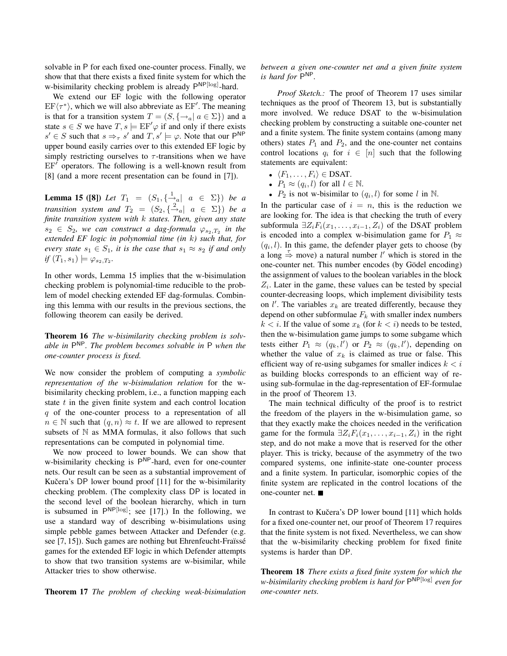solvable in P for each fixed one-counter process. Finally, we show that that there exists a fixed finite system for which the w-bisimilarity checking problem is already  $P^{NP[log]}$ -hard.

We extend our EF logic with the following operator  $EF\langle \tau^* \rangle$ , which we will also abbreviate as  $EF'$ . The meaning is that for a transition system  $T = (S, \{\rightarrow_a | a \in \Sigma\})$  and a state  $s \in S$  we have  $T, s \models \text{EF}'\varphi$  if and only if there exists  $s' \in S$  such that  $s \Rightarrow_{\tau} s'$  and  $T, s' \models \varphi$ . Note that our P<sup>NP</sup> upper bound easily carries over to this extended EF logic by simply restricting ourselves to  $\tau$ -transitions when we have  $EF'$  operators. The following is a well-known result from [8] (and a more recent presentation can be found in [7]).

**Lemma 15** ([8]) *Let*  $T_1 = (S_1, \{ \frac{1}{a} \} a \in \Sigma \})$  *be a transition system and*  $T_2 = (S_2, \{ \stackrel{2}{\rightarrow} _a \mid a \in \Sigma \})$  *be a finite transition system with* k *states. Then, given any state*  $s_2 \in S_2$ , we can construct a dag-formula  $\varphi_{s_2,T_2}$  in the *extended EF logic in polynomial time (in* k*) such that, for every state*  $s_1 \in S_1$ *, it is the case that*  $s_1 \approx s_2$  *if and only*  $if (T_1, s_1) \models \varphi_{s_2, T_2}.$ 

In other words, Lemma 15 implies that the w-bisimulation checking problem is polynomial-time reducible to the problem of model checking extended EF dag-formulas. Combining this lemma with our results in the previous sections, the following theorem can easily be derived.

Theorem 16 *The w-bisimilarity checking problem is solvable in* P NP*. The problem becomes solvable in* P *when the one-counter process is fixed.*

We now consider the problem of computing a *symbolic representation of the w-bisimulation relation* for the wbisimilarity checking problem, i.e., a function mapping each state  $t$  in the given finite system and each control location q of the one-counter process to a representation of all  $n \in \mathbb{N}$  such that  $(q, n) \approx t$ . If we are allowed to represent subsets of  $N$  as MMA formulas, it also follows that such representations can be computed in polynomial time.

We now proceed to lower bounds. We can show that w-bisimilarity checking is P<sup>NP</sup>-hard, even for one-counter nets. Our result can be seen as a substantial improvement of Kučera's DP lower bound proof [11] for the w-bisimilarity checking problem. (The complexity class DP is located in the second level of the boolean hierarchy, which in turn is subsumed in  $P^{NP[log]}$ ; see [17].) In the following, we use a standard way of describing w-bisimulations using simple pebble games between Attacker and Defender (e.g. see [7, 15]). Such games are nothing but Ehrenfeucht-Fraïssé games for the extended EF logic in which Defender attempts to show that two transition systems are w-bisimilar, while Attacker tries to show otherwise.

Theorem 17 *The problem of checking weak-bisimulation*

*between a given one-counter net and a given finite system is hard for*  $P^{NP}$ *.* 

*Proof Sketch.:* The proof of Theorem 17 uses similar techniques as the proof of Theorem 13, but is substantially more involved. We reduce DSAT to the w-bisimulation checking problem by constructing a suitable one-counter net and a finite system. The finite system contains (among many others) states  $P_1$  and  $P_2$ , and the one-counter net contains control locations  $q_i$  for  $i \in [n]$  such that the following statements are equivalent:

- $\langle F_1, \ldots, F_i \rangle \in \text{DSAT}.$
- $P_1 \approx (q_i, l)$  for all  $l \in \mathbb{N}$ .
- $P_2$  is not w-bisimilar to  $(q_i, l)$  for some l in N.

In the particular case of  $i = n$ , this is the reduction we are looking for. The idea is that checking the truth of every subformula  $\exists Z_i F_i(x_1, \ldots, x_{i-1}, Z_i)$  of the DSAT problem is encoded into a complex w-bisimulation game for  $P_1 \approx$  $(q_i, l)$ . In this game, the defender player gets to choose (by a long  $\stackrel{\tau}{\Rightarrow}$  move) a natural number l' which is stored in the one-counter net. This number encodes (by Gödel encoding) the assignment of values to the boolean variables in the block  $Z_i$ . Later in the game, these values can be tested by special counter-decreasing loops, which implement divisibility tests on  $l'$ . The variables  $x_k$  are treated differently, because they depend on other subformulae  $F_k$  with smaller index numbers  $k < i$ . If the value of some  $x_k$  (for  $k < i$ ) needs to be tested, then the w-bisimulation game jumps to some subgame which tests either  $P_1 \approx (q_k, l')$  or  $P_2 \approx (q_k, l')$ , depending on whether the value of  $x_k$  is claimed as true or false. This efficient way of re-using subgames for smaller indices  $k < i$ as building blocks corresponds to an efficient way of reusing sub-formulae in the dag-representation of EF-formulae in the proof of Theorem 13.

The main technical difficulty of the proof is to restrict the freedom of the players in the w-bisimulation game, so that they exactly make the choices needed in the verification game for the formula  $\exists Z_i F_i(x_1, \ldots, x_{i-1}, Z_i)$  in the right step, and do not make a move that is reserved for the other player. This is tricky, because of the asymmetry of the two compared systems, one infinite-state one-counter process and a finite system. In particular, isomorphic copies of the finite system are replicated in the control locations of the one-counter net.

In contrast to Kučera's DP lower bound [11] which holds for a fixed one-counter net, our proof of Theorem 17 requires that the finite system is not fixed. Nevertheless, we can show that the w-bisimilarity checking problem for fixed finite systems is harder than DP.

Theorem 18 *There exists a fixed finite system for which the w-bisimilarity checking problem is hard for* P NP[log] *even for one-counter nets.*